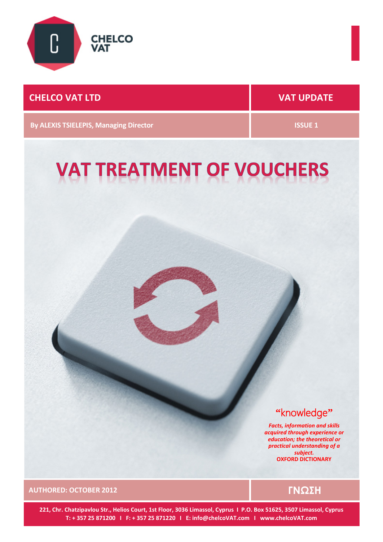

## **CHELCO VAT LTD VAT UPDATE**

**By ALEXIS TSIELEPIS, Managing Director ISSUE 1 ISSUE 1** 

# **VAT TREATMENT OF VOUCHERS**

**"**knowledge**"**

*Facts, information and skills acquired through experience or education; the theoretical or practical understanding of a subject.* **OXFORD DICTIONARY**

**AUTHORED: OCTOBER 2012 ΓΝΩΣΗ**

**221, Chr. Chatzipavlou Str., Helios Court, 1st Floor, 3036 Limassol, Cyprus I P.O. Box 51625, 3507 Limassol, Cyprus T: + 357 25 871200 I F: + 357 25 871220 I E: info@chelcoVAT.com I www.chelcoVAT.com**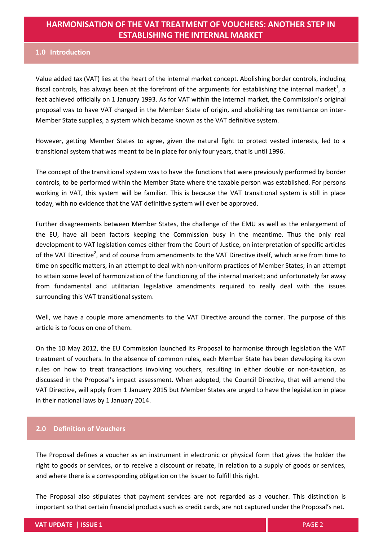### **HARMONISATION OF THE VAT TREATMENT OF VOUCHERS: ANOTHER STEP IN ESTABLISHING THE INTERNAL MARKET**

#### **1.0 Introduction**

Value added tax (VAT) lies at the heart of the internal market concept. Abolishing border controls, including fiscal controls, has always been at the forefront of the arguments for establishing the internal market<sup>1</sup>, a feat achieved officially on 1 January 1993. As for VAT within the internal market, the Commission's original proposal was to have VAT charged in the Member State of origin, and abolishing tax remittance on inter-Member State supplies, a system which became known as the VAT definitive system.

However, getting Member States to agree, given the natural fight to protect vested interests, led to a transitional system that was meant to be in place for only four years, that is until 1996.

The concept of the transitional system was to have the functions that were previously performed by border controls, to be performed within the Member State where the taxable person was established. For persons working in VAT, this system will be familiar. This is because the VAT transitional system is still in place today, with no evidence that the VAT definitive system will ever be approved.

Further disagreements between Member States, the challenge of the EMU as well as the enlargement of the EU, have all been factors keeping the Commission busy in the meantime. Thus the only real development to VAT legislation comes either from the Court of Justice, on interpretation of specific articles of the VAT Directive<sup>2</sup>, and of course from amendments to the VAT Directive itself, which arise from time to time on specific matters, in an attempt to deal with non-uniform practices of Member States; in an attempt to attain some level of harmonization of the functioning of the internal market; and unfortunately far away from fundamental and utilitarian legislative amendments required to really deal with the issues surrounding this VAT transitional system.

Well, we have a couple more amendments to the VAT Directive around the corner. The purpose of this article is to focus on one of them.

On the 10 May 2012, the EU Commission launched its Proposal to harmonise through legislation the VAT treatment of vouchers. In the absence of common rules, each Member State has been developing its own rules on how to treat transactions involving vouchers, resulting in either double or non-taxation, as discussed in the Proposal's impact assessment. When adopted, the Council Directive, that will amend the VAT Directive, will apply from 1 January 2015 but Member States are urged to have the legislation in place in their national laws by 1 January 2014.

#### **2.0 Definition of Vouchers**

The Proposal defines a voucher as an instrument in electronic or physical form that gives the holder the right to goods or services, or to receive a discount or rebate, in relation to a supply of goods or services, and where there is a corresponding obligation on the issuer to fulfill this right.

The Proposal also stipulates that payment services are not regarded as a voucher. This distinction is important so that certain financial products such as credit cards, are not captured under the Proposal's net.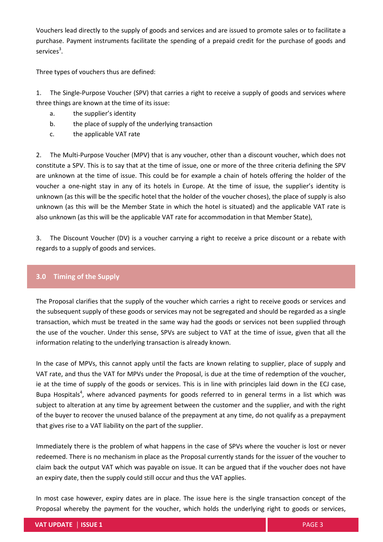Vouchers lead directly to the supply of goods and services and are issued to promote sales or to facilitate a purchase. Payment instruments facilitate the spending of a prepaid credit for the purchase of goods and services<sup>3</sup>.

Three types of vouchers thus are defined:

1. The Single-Purpose Voucher (SPV) that carries a right to receive a supply of goods and services where three things are known at the time of its issue:

- a. the supplier's identity
- b. the place of supply of the underlying transaction
- c. the applicable VAT rate

2. The Multi-Purpose Voucher (MPV) that is any voucher, other than a discount voucher, which does not constitute a SPV. This is to say that at the time of issue, one or more of the three criteria defining the SPV are unknown at the time of issue. This could be for example a chain of hotels offering the holder of the voucher a one-night stay in any of its hotels in Europe. At the time of issue, the supplier's identity is unknown (as this will be the specific hotel that the holder of the voucher choses), the place of supply is also unknown (as this will be the Member State in which the hotel is situated) and the applicable VAT rate is also unknown (as this will be the applicable VAT rate for accommodation in that Member State),

3. The Discount Voucher (DV) is a voucher carrying a right to receive a price discount or a rebate with regards to a supply of goods and services.

#### **3.0 Timing of the Supply**

The Proposal clarifies that the supply of the voucher which carries a right to receive goods or services and the subsequent supply of these goods or services may not be segregated and should be regarded as a single transaction, which must be treated in the same way had the goods or services not been supplied through the use of the voucher. Under this sense, SPVs are subject to VAT at the time of issue, given that all the information relating to the underlying transaction is already known.

In the case of MPVs, this cannot apply until the facts are known relating to supplier, place of supply and VAT rate, and thus the VAT for MPVs under the Proposal, is due at the time of redemption of the voucher, ie at the time of supply of the goods or services. This is in line with principles laid down in the ECJ case, Bupa Hospitals<sup>4</sup>, where advanced payments for goods referred to in general terms in a list which was subject to alteration at any time by agreement between the customer and the supplier, and with the right of the buyer to recover the unused balance of the prepayment at any time, do not qualify as a prepayment that gives rise to a VAT liability on the part of the supplier.

Immediately there is the problem of what happens in the case of SPVs where the voucher is lost or never redeemed. There is no mechanism in place as the Proposal currently stands for the issuer of the voucher to claim back the output VAT which was payable on issue. It can be argued that if the voucher does not have an expiry date, then the supply could still occur and thus the VAT applies.

In most case however, expiry dates are in place. The issue here is the single transaction concept of the Proposal whereby the payment for the voucher, which holds the underlying right to goods or services,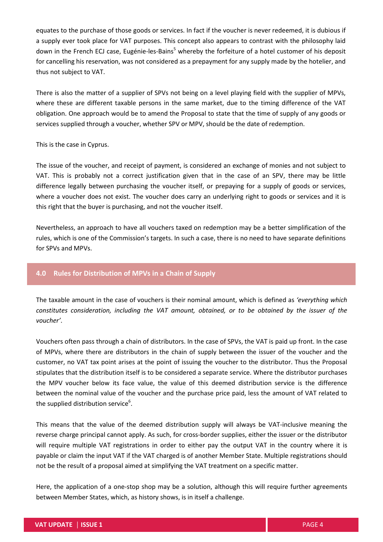equates to the purchase of those goods or services. In fact if the voucher is never redeemed, it is dubious if a supply ever took place for VAT purposes. This concept also appears to contrast with the philosophy laid down in the French ECJ case, Eugénie-les-Bains<sup>5</sup> whereby the forfeiture of a hotel customer of his deposit for cancelling his reservation, was not considered as a prepayment for any supply made by the hotelier, and thus not subject to VAT.

There is also the matter of a supplier of SPVs not being on a level playing field with the supplier of MPVs, where these are different taxable persons in the same market, due to the timing difference of the VAT obligation. One approach would be to amend the Proposal to state that the time of supply of any goods or services supplied through a voucher, whether SPV or MPV, should be the date of redemption.

#### This is the case in Cyprus.

The issue of the voucher, and receipt of payment, is considered an exchange of monies and not subject to VAT. This is probably not a correct justification given that in the case of an SPV, there may be little difference legally between purchasing the voucher itself, or prepaying for a supply of goods or services, where a voucher does not exist. The voucher does carry an underlying right to goods or services and it is this right that the buyer is purchasing, and not the voucher itself.

Nevertheless, an approach to have all vouchers taxed on redemption may be a better simplification of the rules, which is one of the Commission's targets. In such a case, there is no need to have separate definitions for SPVs and MPVs.

#### **4.0 Rules for Distribution of MPVs in a Chain of Supply**

The taxable amount in the case of vouchers is their nominal amount, which is defined as *'everything which constitutes consideration, including the VAT amount, obtained, or to be obtained by the issuer of the voucher'*.

Vouchers often pass through a chain of distributors. In the case of SPVs, the VAT is paid up front. In the case of MPVs, where there are distributors in the chain of supply between the issuer of the voucher and the customer, no VAT tax point arises at the point of issuing the voucher to the distributor. Thus the Proposal stipulates that the distribution itself is to be considered a separate service. Where the distributor purchases the MPV voucher below its face value, the value of this deemed distribution service is the difference between the nominal value of the voucher and the purchase price paid, less the amount of VAT related to the supplied distribution service<sup>6</sup>.

This means that the value of the deemed distribution supply will always be VAT-inclusive meaning the reverse charge principal cannot apply. As such, for cross-border supplies, either the issuer or the distributor will require multiple VAT registrations in order to either pay the output VAT in the country where it is payable or claim the input VAT if the VAT charged is of another Member State. Multiple registrations should not be the result of a proposal aimed at simplifying the VAT treatment on a specific matter.

Here, the application of a one-stop shop may be a solution, although this will require further agreements between Member States, which, as history shows, is in itself a challenge.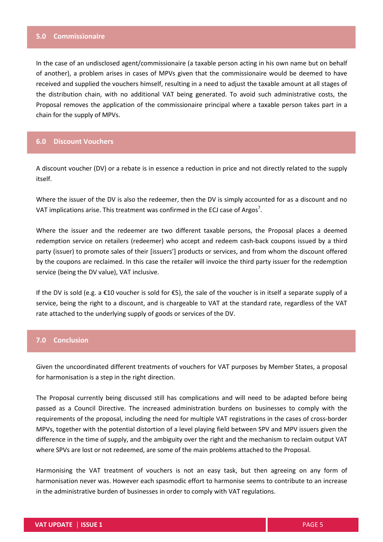#### **5.0 Commissionaire**

In the case of an undisclosed agent/commissionaire (a taxable person acting in his own name but on behalf of another), a problem arises in cases of MPVs given that the commissionaire would be deemed to have received and supplied the vouchers himself, resulting in a need to adjust the taxable amount at all stages of the distribution chain, with no additional VAT being generated. To avoid such administrative costs, the Proposal removes the application of the commissionaire principal where a taxable person takes part in a chain for the supply of MPVs.

#### **6.0 Discount Vouchers**

A discount voucher (DV) or a rebate is in essence a reduction in price and not directly related to the supply itself.

Where the issuer of the DV is also the redeemer, then the DV is simply accounted for as a discount and no VAT implications arise. This treatment was confirmed in the ECJ case of Argos<sup>7</sup>.

Where the issuer and the redeemer are two different taxable persons, the Proposal places a deemed redemption service on retailers (redeemer) who accept and redeem cash-back coupons issued by a third party (issuer) to promote sales of their [issuers'] products or services, and from whom the discount offered by the coupons are reclaimed. In this case the retailer will invoice the third party issuer for the redemption service (being the DV value), VAT inclusive.

If the DV is sold (e.g. a €10 voucher is sold for €5), the sale of the voucher is in itself a separate supply of a service, being the right to a discount, and is chargeable to VAT at the standard rate, regardless of the VAT rate attached to the underlying supply of goods or services of the DV.

#### **7.0 Conclusion**

Given the uncoordinated different treatments of vouchers for VAT purposes by Member States, a proposal for harmonisation is a step in the right direction.

The Proposal currently being discussed still has complications and will need to be adapted before being passed as a Council Directive. The increased administration burdens on businesses to comply with the requirements of the proposal, including the need for multiple VAT registrations in the cases of cross-border MPVs, together with the potential distortion of a level playing field between SPV and MPV issuers given the difference in the time of supply, and the ambiguity over the right and the mechanism to reclaim output VAT where SPVs are lost or not redeemed, are some of the main problems attached to the Proposal.

Harmonising the VAT treatment of vouchers is not an easy task, but then agreeing on any form of harmonisation never was. However each spasmodic effort to harmonise seems to contribute to an increase in the administrative burden of businesses in order to comply with VAT regulations.